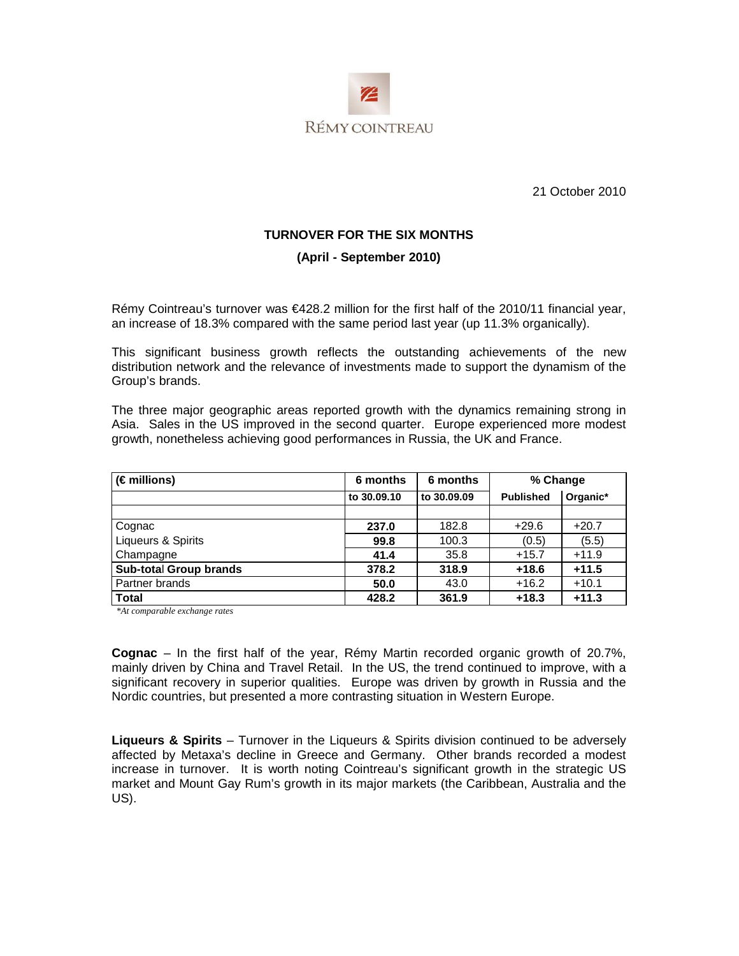

21 October 2010

#### **TURNOVER FOR THE SIX MONTHS**

#### **(April - September 2010)**

Rémy Cointreau's turnover was €428.2 million for the first half of the 2010/11 financial year, an increase of 18.3% compared with the same period last year (up 11.3% organically).

This significant business growth reflects the outstanding achievements of the new distribution network and the relevance of investments made to support the dynamism of the Group's brands.

The three major geographic areas reported growth with the dynamics remaining strong in Asia. Sales in the US improved in the second quarter. Europe experienced more modest growth, nonetheless achieving good performances in Russia, the UK and France.

| $(\epsilon$ millions)         | 6 months    | 6 months    | % Change         |          |
|-------------------------------|-------------|-------------|------------------|----------|
|                               | to 30.09.10 | to 30,09,09 | <b>Published</b> | Organic* |
|                               |             |             |                  |          |
| Cognac                        | 237.0       | 182.8       | $+29.6$          | $+20.7$  |
| Liqueurs & Spirits            | 99.8        | 100.3       | (0.5)            | (5.5)    |
| Champagne                     | 41.4        | 35.8        | $+15.7$          | $+11.9$  |
| <b>Sub-total Group brands</b> | 378.2       | 318.9       | $+18.6$          | $+11.5$  |
| Partner brands                | 50.0        | 43.0        | $+16.2$          | $+10.1$  |
| <b>Total</b>                  | 428.2       | 361.9       | $+18.3$          | $+11.3$  |

 *\*At comparable exchange rates* 

**Cognac** – In the first half of the year, Rémy Martin recorded organic growth of 20.7%, mainly driven by China and Travel Retail. In the US, the trend continued to improve, with a significant recovery in superior qualities. Europe was driven by growth in Russia and the Nordic countries, but presented a more contrasting situation in Western Europe.

**Liqueurs & Spirits** – Turnover in the Liqueurs & Spirits division continued to be adversely affected by Metaxa's decline in Greece and Germany. Other brands recorded a modest increase in turnover. It is worth noting Cointreau's significant growth in the strategic US market and Mount Gay Rum's growth in its major markets (the Caribbean, Australia and the US).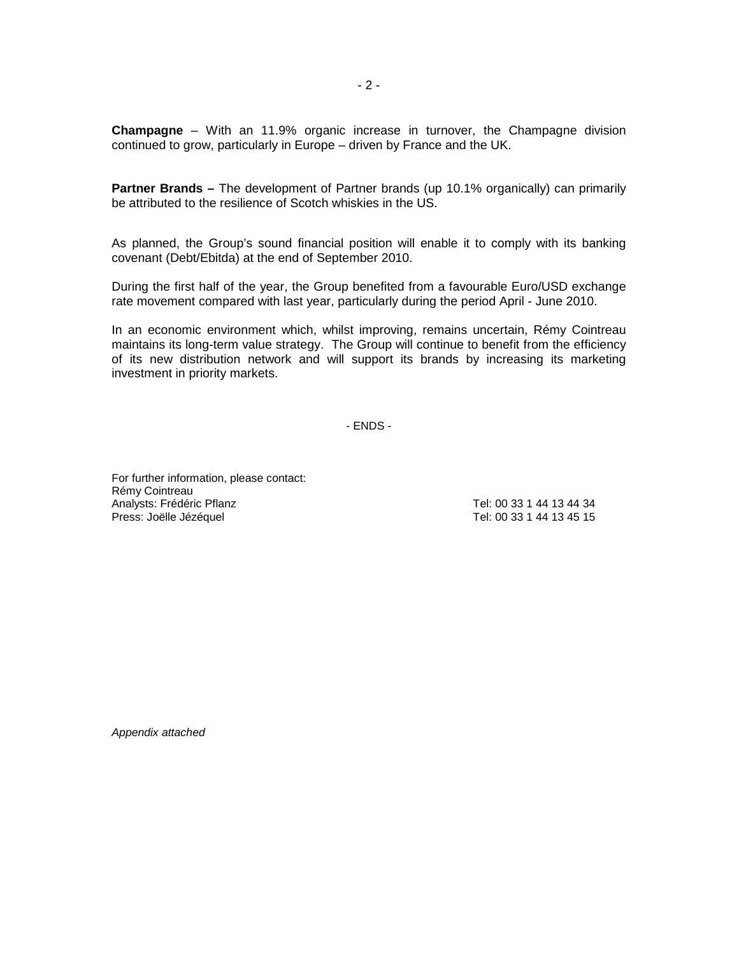**Champagne** – With an 11.9% organic increase in turnover, the Champagne division continued to grow, particularly in Europe – driven by France and the UK.

**Partner Brands –** The development of Partner brands (up 10.1% organically) can primarily be attributed to the resilience of Scotch whiskies in the US.

As planned, the Group's sound financial position will enable it to comply with its banking covenant (Debt/Ebitda) at the end of September 2010.

During the first half of the year, the Group benefited from a favourable Euro/USD exchange rate movement compared with last year, particularly during the period April - June 2010.

In an economic environment which, whilst improving, remains uncertain, Rémy Cointreau maintains its long-term value strategy. The Group will continue to benefit from the efficiency of its new distribution network and will support its brands by increasing its marketing investment in priority markets.

- ENDS -

For further information, please contact: Rémy Cointreau Analysts: Frédéric Pflanz († 1878)<br>Press: Joëlle Jézéguel († 1878)<br>Tel: 00 33 1 44 13 45 15 Press: Joëlle Jézéquel

Appendix attached